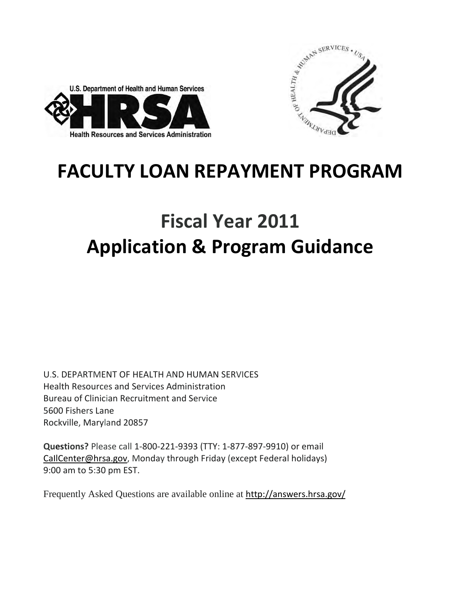



# **FACULTY LOAN REPAYMENT PROGRAM**

# **Fiscal Year 2011 Application & Program Guidance**

U.S. DEPARTMENT OF HEALTH AND HUMAN SERVICES Health Resources and Services Administration Bureau of Clinician Recruitment and Service 5600 Fishers Lane Rockville, Maryland 20857

**Questions?** Please call 1-800-221-9393 (TTY: 1-877-897-9910) or email [CaIlCenter@hrsa.gov,](mailto:CaIlCenter@hrsa.gov) Monday through Friday (except Federal holidays) 9:00 am to 5:30 pm EST.

Frequently Asked Questions are available online at <http://answers.hrsa.gov/>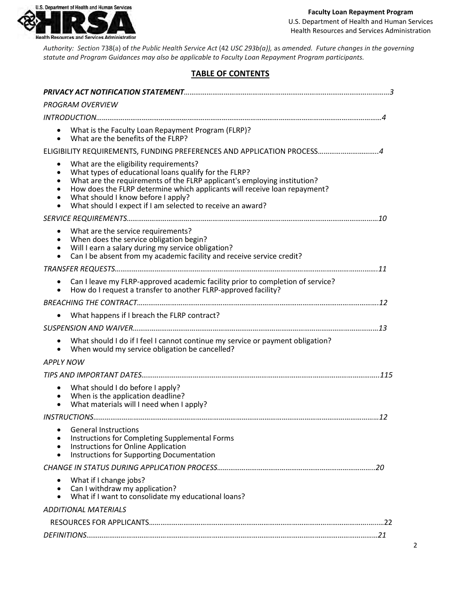

*Authority: Section* 738(a) of *the Public Health Service Act* (42 *USC 293b(a)),* as *amended. Future changes in the governing statute and Program Guidances may also be applicable to Faculty Loan Repayment Program participants.*

#### **TABLE OF CONTENTS**

| <b>PROGRAM OVERVIEW</b>                                                                                                                                                                                                                                                                                                                                                                |  |
|----------------------------------------------------------------------------------------------------------------------------------------------------------------------------------------------------------------------------------------------------------------------------------------------------------------------------------------------------------------------------------------|--|
|                                                                                                                                                                                                                                                                                                                                                                                        |  |
| What is the Faculty Loan Repayment Program (FLRP)?<br>What are the benefits of the FLRP?                                                                                                                                                                                                                                                                                               |  |
| ELIGIBILITY REQUIREMENTS, FUNDING PREFERENCES AND APPLICATION PROCESS 4                                                                                                                                                                                                                                                                                                                |  |
| What are the eligibility requirements?<br>What types of educational loans qualify for the FLRP?<br>$\bullet$<br>What are the requirements of the FLRP applicant's employing institution?<br>How does the FLRP determine which applicants will receive loan repayment?<br>What should I know before I apply?<br>What should I expect if I am selected to receive an award?<br>$\bullet$ |  |
|                                                                                                                                                                                                                                                                                                                                                                                        |  |
| What are the service requirements?<br>٠<br>When does the service obligation begin?<br>Will I earn a salary during my service obligation?<br>Can I be absent from my academic facility and receive service credit?<br>$\bullet$                                                                                                                                                         |  |
|                                                                                                                                                                                                                                                                                                                                                                                        |  |
| Can I leave my FLRP-approved academic facility prior to completion of service?<br>How do I request a transfer to another FLRP-approved facility?                                                                                                                                                                                                                                       |  |
|                                                                                                                                                                                                                                                                                                                                                                                        |  |
| What happens if I breach the FLRP contract?                                                                                                                                                                                                                                                                                                                                            |  |
|                                                                                                                                                                                                                                                                                                                                                                                        |  |
| What should I do if I feel I cannot continue my service or payment obligation?<br>$\bullet$<br>When would my service obligation be cancelled?                                                                                                                                                                                                                                          |  |
| <b>APPLY NOW</b>                                                                                                                                                                                                                                                                                                                                                                       |  |
|                                                                                                                                                                                                                                                                                                                                                                                        |  |
| What should I do before I apply?<br>When is the application deadline?<br>What materials will I need when I apply?<br>$\bullet$                                                                                                                                                                                                                                                         |  |
|                                                                                                                                                                                                                                                                                                                                                                                        |  |
| <b>General Instructions</b><br>Instructions for Completing Supplemental Forms<br>Instructions for Online Application<br>Instructions for Supporting Documentation                                                                                                                                                                                                                      |  |
|                                                                                                                                                                                                                                                                                                                                                                                        |  |
| What if I change jobs?<br>Can I withdraw my application?<br>What if I want to consolidate my educational loans?                                                                                                                                                                                                                                                                        |  |
| <b>ADDITIONAL MATERIALS</b>                                                                                                                                                                                                                                                                                                                                                            |  |
|                                                                                                                                                                                                                                                                                                                                                                                        |  |
|                                                                                                                                                                                                                                                                                                                                                                                        |  |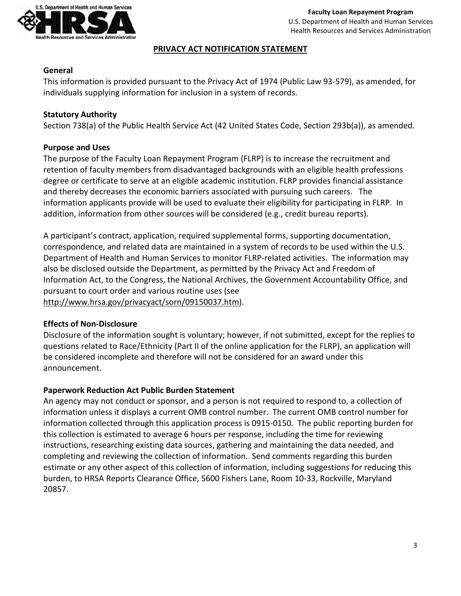

#### **PRIVACY ACT NOTIFICATION STATEMENT**

## **General**

This information is provided pursuant to the Privacy Act of 1974 (Public Law 93-579), as amended, for individuals supplying information for inclusion in a system of records.

# **Statutory Authority**

Section 738(a) of the Public Health Service Act (42 United States Code, Section 293b(a)), as amended.

# **Purpose and Uses**

The purpose of the Faculty Loan Repayment Program (FLRP) is to increase the recruitment and retention of faculty members from disadvantaged backgrounds with an eligible health professions degree or certificate to serve at an eligible academic institution. FLRP provides financial assistance and thereby decreases the economic barriers associated with pursuing such careers. The information applicants provide will be used to evaluate their eligibility for participating in FLRP. In addition, information from other sources will be considered (e.g., credit bureau reports).

A participant's contract, application, required supplemental forms, supporting documentation, correspondence, and related data are maintained in a system of records to be used within the U.S. Department of Health and Human Services to monitor FLRP-related activities. The information may also be disclosed outside the Department, as permitted by the Privacy Act and Freedom of Information Act, to the Congress, the National Archives, the Government Accountability Office, and pursuant to court order and various routine uses (see [http://www.hrsa.gov/privacyact/sorn/09150037.htm\)](http://www.hrsa.gov/privacyact/sorn/09150037.htm).

#### **Effects of Non-Disclosure**

Disclosure of the information sought is voluntary; however, if not submitted, except for the replies to questions related to Race/Ethnicity (Part II of the online application for the FLRP), an application will be considered incomplete and therefore will not be considered for an award under this announcement.

# **Paperwork Reduction Act Public Burden Statement**

An agency may not conduct or sponsor, and a person is not required to respond to, a collection of information unless it displays a current OMB control number. The current OMB control number for information collected through this application process is 0915-0150. The public reporting burden for this collection is estimated to average 6 hours per response, including the time for reviewing instructions, researching existing data sources, gathering and maintaining the data needed, and completing and reviewing the collection of information. Send comments regarding this burden estimate or any other aspect of this collection of information, including suggestions for reducing this burden, to HRSA Reports Clearance Office, 5600 Fishers Lane, Room 10-33, Rockville, Maryland 20857.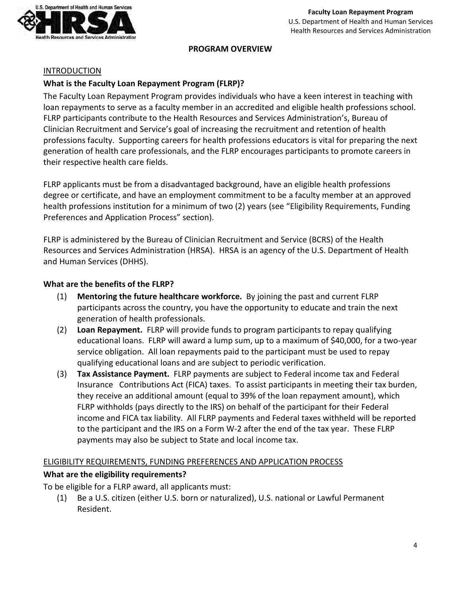

**PROGRAM OVERVIEW** 

#### **INTRODUCTION**

# **What is the Faculty Loan Repayment Program (FLRP)?**

The Faculty Loan Repayment Program provides individuals who have a keen interest in teaching with loan repayments to serve as a faculty member in an accredited and eligible health professions school. FLRP participants contribute to the Health Resources and Services Administration's, Bureau of Clinician Recruitment and Service's goal of increasing the recruitment and retention of health professions faculty. Supporting careers for health professions educators is vital for preparing the next generation of health care professionals, and the FLRP encourages participants to promote careers in their respective health care fields.

FLRP applicants must be from a disadvantaged background, have an eligible health professions degree or certificate, and have an employment commitment to be a faculty member at an approved health professions institution for a minimum of two (2) years (see "Eligibility Requirements, Funding Preferences and Application Process" section).

FLRP is administered by the Bureau of Clinician Recruitment and Service (BCRS) of the Health Resources and Services Administration (HRSA). HRSA is an agency of the U.S. Department of Health and Human Services (DHHS).

#### **What are the benefits of the FLRP?**

- (1) **Mentoring the future healthcare workforce.** By joining the past and current FLRP participants across the country, you have the opportunity to educate and train the next generation of health professionals.
- (2) **Loan Repayment.** FLRP will provide funds to program participants to repay qualifying educational loans. FLRP will award a lump sum, up to a maximum of \$40,000, for a two-year service obligation. All loan repayments paid to the participant must be used to repay qualifying educational loans and are subject to periodic verification.
- (3) **Tax Assistance Payment.** FLRP payments are subject to Federal income tax and Federal Insurance Contributions Act (FICA) taxes. To assist participants in meeting their tax burden, they receive an additional amount (equal to 39% of the loan repayment amount), which FLRP withholds (pays directly to the IRS) on behalf of the participant for their Federal income and FICA tax liability. All FLRP payments and Federal taxes withheld will be reported to the participant and the IRS on a Form W-2 after the end of the tax year. These FLRP payments may also be subject to State and local income tax.

#### <span id="page-3-0"></span>ELIGIBILITY REQUIREMENTS, FUNDING PREFERENCES AND APPLICATION PROCESS

#### **What are the eligibility requirements?**

To be eligible for a FLRP award, all applicants must:

(1) Be a U.S. citizen (either U.S. born or naturalized), U.S. national or Lawful Permanent Resident.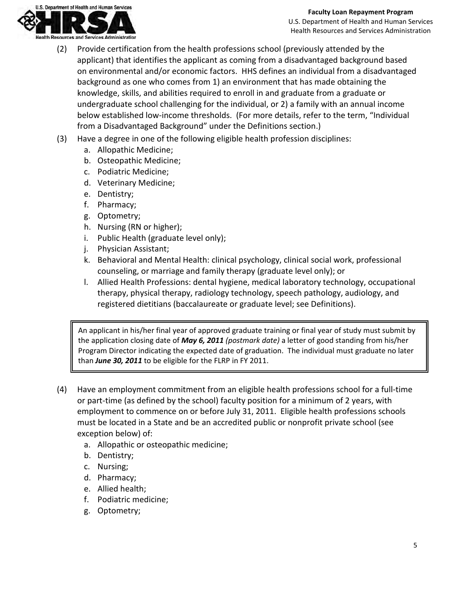

- (2) Provide certification from the health professions school (previously attended by the applicant) that identifies the applicant as coming from a disadvantaged background based on environmental and/or economic factors. HHS defines an individual from a disadvantaged background as one who comes from 1) an environment that has made obtaining the knowledge, skills, and abilities required to enroll in and graduate from a graduate or undergraduate school challenging for the individual, or 2) a family with an annual income below established low-income thresholds. (For more details, refer to the term, "Individual from a Disadvantaged Background" under the Definitions section.)
- (3) Have a degree in one of the following eligible health profession disciplines:
	- a. Allopathic Medicine;
	- b. Osteopathic Medicine;
	- c. Podiatric Medicine;
	- d. Veterinary Medicine;
	- e. Dentistry;
	- f. Pharmacy;
	- g. Optometry;
	- h. Nursing (RN or higher);
	- i. Public Health (graduate level only);
	- j. Physician Assistant;
	- k. Behavioral and Mental Health: clinical psychology, clinical social work, professional counseling, or marriage and family therapy (graduate level only); or
	- l. Allied Health Professions: dental hygiene, medical laboratory technology, occupational therapy, physical therapy, radiology technology, speech pathology, audiology, and registered dietitians (baccalaureate or graduate level; see Definitions).

An applicant in his/her final year of approved graduate training or final year of study must submit by the application closing date of *May 6, 2011 (postmark date)* a letter of good standing from his/her Program Director indicating the expected date of graduation. The individual must graduate no later than *June 30, 2011* to be eligible for the FLRP in FY 2011.

- (4) Have an employment commitment from an eligible health professions school for a full-time or part-time (as defined by the school) faculty position for a minimum of 2 years, with employment to commence on or before July 31, 2011. Eligible health professions schools must be located in a State and be an accredited public or nonprofit private school (see exception below) of:
	- a. Allopathic or osteopathic medicine;
	- b. Dentistry;
	- c. Nursing;
	- d. Pharmacy;
	- e. Allied health;
	- f. Podiatric medicine;
	- g. Optometry;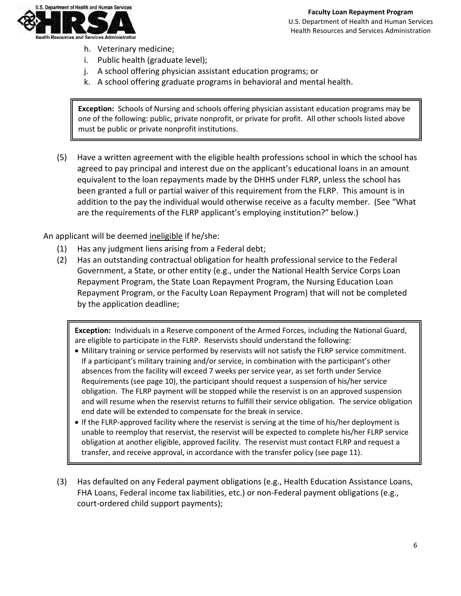

- h. Veterinary medicine;
- i. Public health (graduate level);
- j. A school offering physician assistant education programs; or
- k. A school offering graduate programs in behavioral and mental health.

**Exception:** Schools of Nursing and schools offering physician assistant education programs may be one of the following: public, private nonprofit, or private for profit. All other schools listed above must be public or private nonprofit institutions.

(5) Have a written agreement with the eligible health professions school in which the school has agreed to pay principal and interest due on the applicant's educational loans in an amount equivalent to the loan repayments made by the DHHS under FLRP, unless the school has been granted a full or partial waiver of this requirement from the FLRP. This amount is in addition to the pay the individual would otherwise receive as a faculty member. (See "What are the requirements of the FLRP applicant's employing institution?" below.)

An applicant will be deemed ineligible if he/she:

- (1) Has any judgment liens arising from a Federal debt;
- (2) Has an outstanding contractual obligation for health professional service to the Federal Government, a State, or other entity (e.g., under the National Health Service Corps Loan Repayment Program, the State Loan Repayment Program, the Nursing Education Loan Repayment Program, or the Faculty Loan Repayment Program) that will not be completed by the application deadline;

**Exception:** Individuals in a Reserve component of the Armed Forces, including the National Guard, are eligible to participate in the FLRP. Reservists should understand the following:

- Military training or service performed by reservists will not satisfy the FLRP service commitment. If a participant's military training and/or service, in combination with the participant's other absences from the facility will exceed 7 weeks per service year, as set forth under Service Requirements (see page 10), the participant should request a suspension of his/her service obligation. The FLRP payment will be stopped while the reservist is on an approved suspension and will resume when the reservist returns to fulfill their service obligation. The service obligation end date will be extended to compensate for the break in service.
- If the FLRP-approved facility where the reservist is serving at the time of his/her deployment is unable to reemploy that reservist, the reservist will be expected to complete his/her FLRP service obligation at another eligible, approved facility. The reservist must contact FLRP and request a transfer, and receive approval, in accordance with the transfer policy (see page 11).
- (3) Has defaulted on any Federal payment obligations (e.g., Health Education Assistance Loans, FHA Loans, Federal income tax liabilities, etc.) or non-Federal payment obligations (e.g., court-ordered child support payments);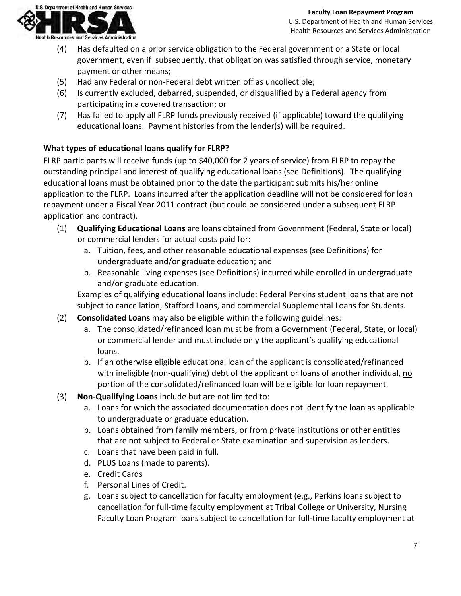

- (4) Has defaulted on a prior service obligation to the Federal government or a State or local government, even if subsequently, that obligation was satisfied through service, monetary payment or other means;
- (5) Had any Federal or non-Federal debt written off as uncollectible;
- (6) Is currently excluded, debarred, suspended, or disqualified by a Federal agency from participating in a covered transaction; or
- (7) Has failed to apply all FLRP funds previously received (if applicable) toward the qualifying educational loans. Payment histories from the lender(s) will be required.

# **What types of educational loans qualify for FLRP?**

FLRP participants will receive funds (up to \$40,000 for 2 years of service) from FLRP to repay the outstanding principal and interest of qualifying educational loans (see Definitions). The qualifying educational loans must be obtained prior to the date the participant submits his/her online application to the FLRP. Loans incurred after the application deadline will not be considered for loan repayment under a Fiscal Year 2011 contract (but could be considered under a subsequent FLRP application and contract).

- (1) **Qualifying Educational Loans** are loans obtained from Government (Federal, State or local) or commercial lenders for actual costs paid for:
	- a. Tuition, fees, and other reasonable educational expenses (see Definitions) for undergraduate and/or graduate education; and
	- b. Reasonable living expenses (see Definitions) incurred while enrolled in undergraduate and/or graduate education.

Examples of qualifying educational loans include: Federal Perkins student loans that are not subject to cancellation, Stafford Loans, and commercial Supplemental Loans for Students.

- (2) **Consolidated Loans** may also be eligible within the following guidelines:
	- a. The consolidated/refinanced loan must be from a Government (Federal, State, or local) or commercial lender and must include only the applicant's qualifying educational loans.
	- b. If an otherwise eligible educational loan of the applicant is consolidated/refinanced with ineligible (non-qualifying) debt of the applicant or loans of another individual, no portion of the consolidated/refinanced loan will be eligible for loan repayment.
- (3) **Non-Qualifying Loans** include but are not limited to:
	- a. Loans for which the associated documentation does not identify the loan as applicable to undergraduate or graduate education.
	- b. Loans obtained from family members, or from private institutions or other entities that are not subject to Federal or State examination and supervision as lenders.
	- c. Loans that have been paid in full.
	- d. PLUS Loans (made to parents).
	- e. Credit Cards
	- f. Personal Lines of Credit.
	- g. Loans subject to cancellation for faculty employment (e.g., Perkins loans subject to cancellation for full-time faculty employment at Tribal College or University, Nursing Faculty Loan Program loans subject to cancellation for full-time faculty employment at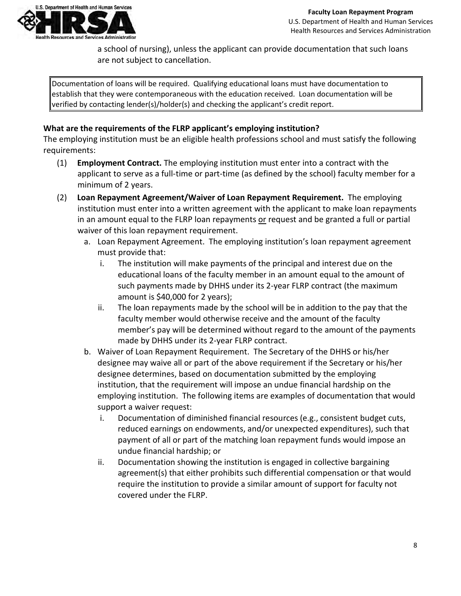

a school of nursing), unless the applicant can provide documentation that such loans are not subject to cancellation.

Documentation of loans will be required. Qualifying educational loans must have documentation to establish that they were contemporaneous with the education received. Loan documentation will be verified by contacting lender(s)/holder(s) and checking the applicant's credit report.

# **What are the requirements of the FLRP applicant's employing institution?**

The employing institution must be an eligible health professions school and must satisfy the following requirements:

- (1) **Employment Contract.** The employing institution must enter into a contract with the applicant to serve as a full-time or part-time (as defined by the school) faculty member for a minimum of 2 years.
- (2) **Loan Repayment Agreement/Waiver of Loan Repayment Requirement.** The employing institution must enter into a written agreement with the applicant to make loan repayments in an amount equal to the FLRP loan repayments or request and be granted a full or partial waiver of this loan repayment requirement.
	- a. Loan Repayment Agreement. The employing institution's loan repayment agreement must provide that:
		- i. The institution will make payments of the principal and interest due on the educational loans of the faculty member in an amount equal to the amount of such payments made by DHHS under its 2-year FLRP contract (the maximum amount is \$40,000 for 2 years);
		- ii. The loan repayments made by the school will be in addition to the pay that the faculty member would otherwise receive and the amount of the faculty member's pay will be determined without regard to the amount of the payments made by DHHS under its 2-year FLRP contract.
	- b. Waiver of Loan Repayment Requirement. The Secretary of the DHHS or his/her designee may waive all or part of the above requirement if the Secretary or his/her designee determines, based on documentation submitted by the employing institution, that the requirement will impose an undue financial hardship on the employing institution. The following items are examples of documentation that would support a waiver request:
		- i. Documentation of diminished financial resources (e.g., consistent budget cuts, reduced earnings on endowments, and/or unexpected expenditures), such that payment of all or part of the matching loan repayment funds would impose an undue financial hardship; or
		- ii. Documentation showing the institution is engaged in collective bargaining agreement(s) that either prohibits such differential compensation or that would require the institution to provide a similar amount of support for faculty not covered under the FLRP.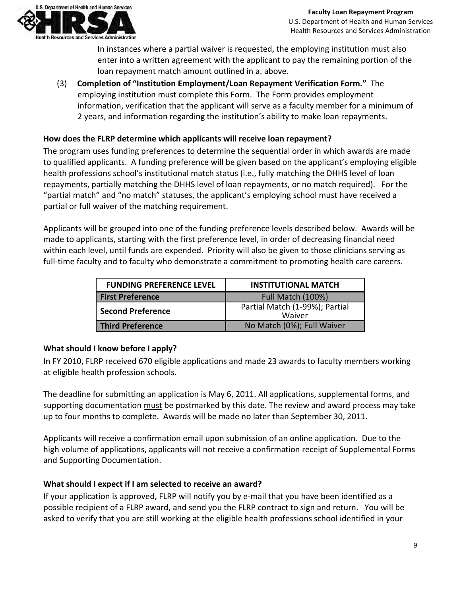

In instances where a partial waiver is requested, the employing institution must also enter into a written agreement with the applicant to pay the remaining portion of the loan repayment match amount outlined in a. above.

(3) **Completion of "Institution Employment/Loan Repayment Verification Form."** The employing institution must complete this Form. The Form provides employment information, verification that the applicant will serve as a faculty member for a minimum of 2 years, and information regarding the institution's ability to make loan repayments.

# **How does the FLRP determine which applicants will receive loan repayment?**

The program uses funding preferences to determine the sequential order in which awards are made to qualified applicants. A funding preference will be given based on the applicant's employing eligible health professions school's institutional match status (i.e., fully matching the DHHS level of loan repayments, partially matching the DHHS level of loan repayments, or no match required). For the "partial match" and "no match" statuses, the applicant's employing school must have received a partial or full waiver of the matching requirement.

Applicants will be grouped into one of the funding preference levels described below. Awards will be made to applicants, starting with the first preference level, in order of decreasing financial need within each level, until funds are expended. Priority will also be given to those clinicians serving as full-time faculty and to faculty who demonstrate a commitment to promoting health care careers.

| <b>FUNDING PREFERENCE LEVEL</b> | <b>INSTITUTIONAL MATCH</b>               |
|---------------------------------|------------------------------------------|
| <b>First Preference</b>         | Full Match (100%)                        |
| <b>Second Preference</b>        | Partial Match (1-99%); Partial<br>Waiver |
| <b>Third Preference</b>         | No Match (0%); Full Waiver               |

#### **What should I know before I apply?**

In FY 2010, FLRP received 670 eligible applications and made 23 awards to faculty members working at eligible health profession schools.

The deadline for submitting an application is May 6, 2011. All applications, supplemental forms, and supporting documentation must be postmarked by this date. The review and award process may take up to four months to complete. Awards will be made no later than September 30, 2011.

Applicants will receive a confirmation email upon submission of an online application. Due to the high volume of applications, applicants will not receive a confirmation receipt of Supplemental Forms and Supporting Documentation.

#### **What should I expect if I am selected to receive an award?**

If your application is approved, FLRP will notify you by e-mail that you have been identified as a possible recipient of a FLRP award, and send you the FLRP contract to sign and return. You will be asked to verify that you are still working at the eligible health professions school identified in your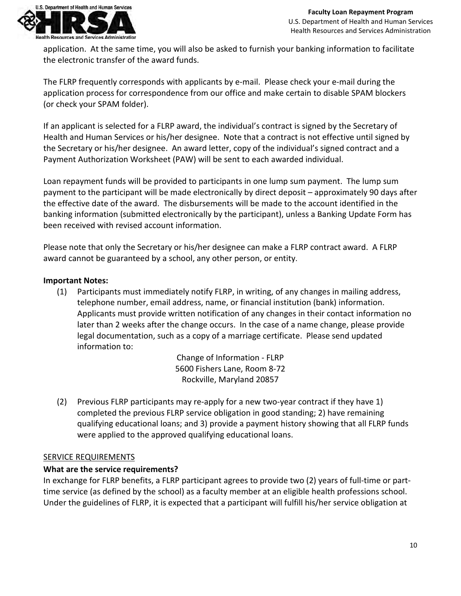

application. At the same time, you will also be asked to furnish your banking information to facilitate the electronic transfer of the award funds.

The FLRP frequently corresponds with applicants by e-mail. Please check your e-mail during the application process for correspondence from our office and make certain to disable SPAM blockers (or check your SPAM folder).

If an applicant is selected for a FLRP award, the individual's contract is signed by the Secretary of Health and Human Services or his/her designee. Note that a contract is not effective until signed by the Secretary or his/her designee. An award letter, copy of the individual's signed contract and a Payment Authorization Worksheet (PAW) will be sent to each awarded individual.

Loan repayment funds will be provided to participants in one lump sum payment. The lump sum payment to the participant will be made electronically by direct deposit – approximately 90 days after the effective date of the award. The disbursements will be made to the account identified in the banking information (submitted electronically by the participant), unless a Banking Update Form has been received with revised account information.

Please note that only the Secretary or his/her designee can make a FLRP contract award. A FLRP award cannot be guaranteed by a school, any other person, or entity.

#### **Important Notes:**

(1) Participants must immediately notify FLRP, in writing, of any changes in mailing address, telephone number, email address, name, or financial institution (bank) information. Applicants must provide written notification of any changes in their contact information no later than 2 weeks after the change occurs. In the case of a name change, please provide legal documentation, such as a copy of a marriage certificate. Please send updated information to:

> Change of Information - FLRP 5600 Fishers Lane, Room 8-72 Rockville, Maryland 20857

(2) Previous FLRP participants may re-apply for a new two-year contract if they have 1) completed the previous FLRP service obligation in good standing; 2) have remaining qualifying educational loans; and 3) provide a payment history showing that all FLRP funds were applied to the approved qualifying educational loans.

#### **SERVICE REQUIREMENTS**

#### **What are the service requirements?**

In exchange for FLRP benefits, a FLRP participant agrees to provide two (2) years of full-time or parttime service (as defined by the school) as a faculty member at an eligible health professions school. Under the guidelines of FLRP, it is expected that a participant will fulfill his/her service obligation at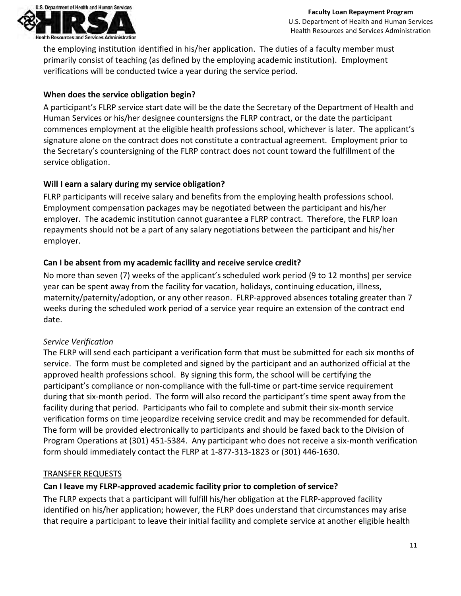

the employing institution identified in his/her application. The duties of a faculty member must primarily consist of teaching (as defined by the employing academic institution). Employment verifications will be conducted twice a year during the service period.

# **When does the service obligation begin?**

A participant's FLRP service start date will be the date the Secretary of the Department of Health and Human Services or his/her designee countersigns the FLRP contract, or the date the participant commences employment at the eligible health professions school, whichever is later. The applicant's signature alone on the contract does not constitute a contractual agreement. Employment prior to the Secretary's countersigning of the FLRP contract does not count toward the fulfillment of the service obligation.

# **Will I earn a salary during my service obligation?**

FLRP participants will receive salary and benefits from the employing health professions school. Employment compensation packages may be negotiated between the participant and his/her employer. The academic institution cannot guarantee a FLRP contract. Therefore, the FLRP loan repayments should not be a part of any salary negotiations between the participant and his/her employer.

# **Can I be absent from my academic facility and receive service credit?**

No more than seven (7) weeks of the applicant's scheduled work period (9 to 12 months) per service year can be spent away from the facility for vacation, holidays, continuing education, illness, maternity/paternity/adoption, or any other reason. FLRP-approved absences totaling greater than 7 weeks during the scheduled work period of a service year require an extension of the contract end date.

# *Service Verification*

The FLRP will send each participant a verification form that must be submitted for each six months of service. The form must be completed and signed by the participant and an authorized official at the approved health professions school. By signing this form, the school will be certifying the participant's compliance or non-compliance with the full-time or part-time service requirement during that six-month period. The form will also record the participant's time spent away from the facility during that period. Participants who fail to complete and submit their six-month service verification forms on time jeopardize receiving service credit and may be recommended for default. The form will be provided electronically to participants and should be faxed back to the Division of Program Operations at (301) 451-5384. Any participant who does not receive a six-month verification form should immediately contact the FLRP at 1-877-313-1823 or (301) 446-1630.

#### TRANSFER REQUESTS

#### **Can I leave my FLRP-approved academic facility prior to completion of service?**

The FLRP expects that a participant will fulfill his/her obligation at the FLRP-approved facility identified on his/her application; however, the FLRP does understand that circumstances may arise that require a participant to leave their initial facility and complete service at another eligible health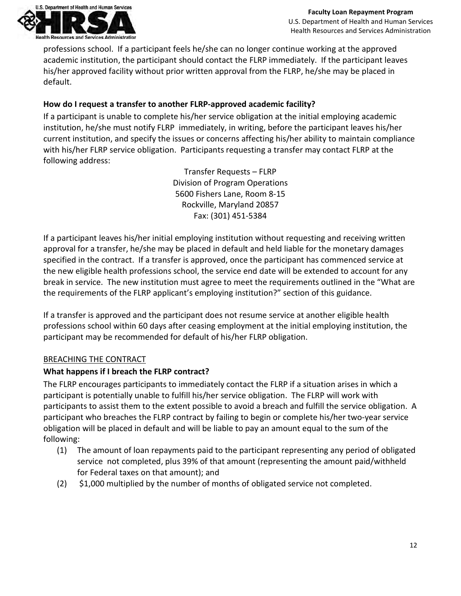

professions school. If a participant feels he/she can no longer continue working at the approved academic institution, the participant should contact the FLRP immediately. If the participant leaves his/her approved facility without prior written approval from the FLRP, he/she may be placed in default.

# **How do I request a transfer to another FLRP-approved academic facility?**

If a participant is unable to complete his/her service obligation at the initial employing academic institution, he/she must notify FLRP immediately, in writing, before the participant leaves his/her current institution, and specify the issues or concerns affecting his/her ability to maintain compliance with his/her FLRP service obligation. Participants requesting a transfer may contact FLRP at the following address:

> Transfer Requests – FLRP Division of Program Operations 5600 Fishers Lane, Room 8-15 Rockville, Maryland 20857 Fax: (301) 451-5384

If a participant leaves his/her initial employing institution without requesting and receiving written approval for a transfer, he/she may be placed in default and held liable for the monetary damages specified in the contract. If a transfer is approved, once the participant has commenced service at the new eligible health professions school, the service end date will be extended to account for any break in service. The new institution must agree to meet the requirements outlined in the "What are the requirements of the FLRP applicant's employing institution?" section of this guidance.

If a transfer is approved and the participant does not resume service at another eligible health professions school within 60 days after ceasing employment at the initial employing institution, the participant may be recommended for default of his/her FLRP obligation.

# BREACHING THE CONTRACT

# **What happens if I breach the FLRP contract?**

The FLRP encourages participants to immediately contact the FLRP if a situation arises in which a participant is potentially unable to fulfill his/her service obligation. The FLRP will work with participants to assist them to the extent possible to avoid a breach and fulfill the service obligation. A participant who breaches the FLRP contract by failing to begin or complete his/her two-year service obligation will be placed in default and will be liable to pay an amount equal to the sum of the following:

- (1) The amount of loan repayments paid to the participant representing any period of obligated service not completed, plus 39% of that amount (representing the amount paid/withheld for Federal taxes on that amount); and
- (2) \$1,000 multiplied by the number of months of obligated service not completed.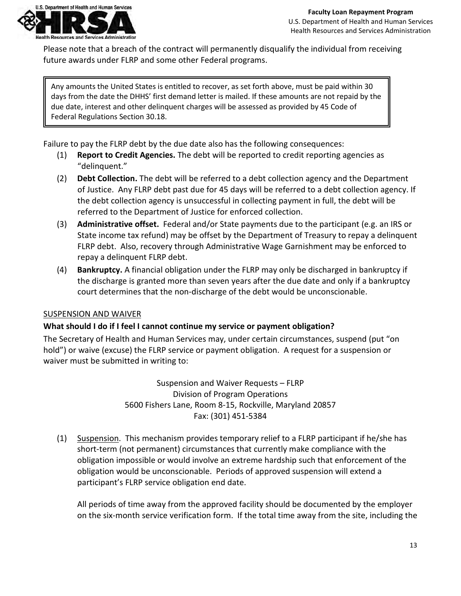

Please note that a breach of the contract will permanently disqualify the individual from receiving future awards under FLRP and some other Federal programs.

Any amounts the United States is entitled to recover, as set forth above, must be paid within 30 days from the date the DHHS' first demand letter is mailed. If these amounts are not repaid by the due date, interest and other delinquent charges will be assessed as provided by 45 Code of Federal Regulations Section 30.18.

Failure to pay the FLRP debt by the due date also has the following consequences:

- (1) **Report to Credit Agencies.** The debt will be reported to credit reporting agencies as "delinquent."
- (2) **Debt Collection.** The debt will be referred to a debt collection agency and the Department of Justice. Any FLRP debt past due for 45 days will be referred to a debt collection agency. If the debt collection agency is unsuccessful in collecting payment in full, the debt will be referred to the Department of Justice for enforced collection.
- (3) **Administrative offset.** Federal and/or State payments due to the participant (e.g. an IRS or State income tax refund) may be offset by the Department of Treasury to repay a delinquent FLRP debt. Also, recovery through Administrative Wage Garnishment may be enforced to repay a delinquent FLRP debt.
- (4) **Bankruptcy.** A financial obligation under the FLRP may only be discharged in bankruptcy if the discharge is granted more than seven years after the due date and only if a bankruptcy court determines that the non-discharge of the debt would be unconscionable.

#### SUSPENSION AND WAIVER

# **What should I do if I feel I cannot continue my service or payment obligation?**

The Secretary of Health and Human Services may, under certain circumstances, suspend (put "on hold") or waive (excuse) the FLRP service or payment obligation. A request for a suspension or waiver must be submitted in writing to:

> Suspension and Waiver Requests – FLRP Division of Program Operations 5600 Fishers Lane, Room 8-15, Rockville, Maryland 20857 Fax: (301) 451-5384

(1) Suspension. This mechanism provides temporary relief to a FLRP participant if he/she has short-term (not permanent) circumstances that currently make compliance with the obligation impossible or would involve an extreme hardship such that enforcement of the obligation would be unconscionable. Periods of approved suspension will extend a participant's FLRP service obligation end date.

All periods of time away from the approved facility should be documented by the employer on the six-month service verification form. If the total time away from the site, including the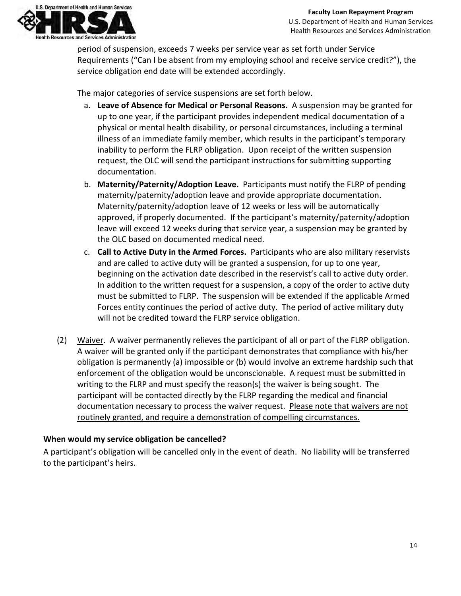

period of suspension, exceeds 7 weeks per service year as set forth under Service Requirements ("Can I be absent from my employing school and receive service credit?"), the service obligation end date will be extended accordingly.

The major categories of service suspensions are set forth below.

- a. **Leave of Absence for Medical or Personal Reasons.** A suspension may be granted for up to one year, if the participant provides independent medical documentation of a physical or mental health disability, or personal circumstances, including a terminal illness of an immediate family member, which results in the participant's temporary inability to perform the FLRP obligation. Upon receipt of the written suspension request, the OLC will send the participant instructions for submitting supporting documentation.
- b. **Maternity/Paternity/Adoption Leave.** Participants must notify the FLRP of pending maternity/paternity/adoption leave and provide appropriate documentation. Maternity/paternity/adoption leave of 12 weeks or less will be automatically approved, if properly documented. If the participant's maternity/paternity/adoption leave will exceed 12 weeks during that service year, a suspension may be granted by the OLC based on documented medical need.
- c. **Call to Active Duty in the Armed Forces.** Participants who are also military reservists and are called to active duty will be granted a suspension, for up to one year, beginning on the activation date described in the reservist's call to active duty order. In addition to the written request for a suspension, a copy of the order to active duty must be submitted to FLRP. The suspension will be extended if the applicable Armed Forces entity continues the period of active duty. The period of active military duty will not be credited toward the FLRP service obligation.
- (2) Waiver. A waiver permanently relieves the participant of all or part of the FLRP obligation. A waiver will be granted only if the participant demonstrates that compliance with his/her obligation is permanently (a) impossible or (b) would involve an extreme hardship such that enforcement of the obligation would be unconscionable. A request must be submitted in writing to the FLRP and must specify the reason(s) the waiver is being sought. The participant will be contacted directly by the FLRP regarding the medical and financial documentation necessary to process the waiver request. Please note that waivers are not routinely granted, and require a demonstration of compelling circumstances.

# **When would my service obligation be cancelled?**

A participant's obligation will be cancelled only in the event of death. No liability will be transferred to the participant's heirs.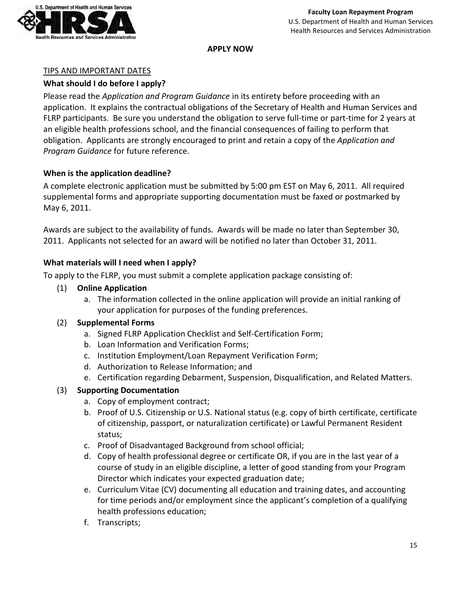

**APPLY NOW**

## TIPS AND IMPORTANT DATES

# **What should I do before I apply?**

Please read the *Application and Program Guidance* in its entirety before proceeding with an application. It explains the contractual obligations of the Secretary of Health and Human Services and FLRP participants. Be sure you understand the obligation to serve full-time or part-time for 2 years at an eligible health professions school, and the financial consequences of failing to perform that obligation. Applicants are strongly encouraged to print and retain a copy of the *Application and Program Guidance* for future reference.

# **When is the application deadline?**

A complete electronic application must be submitted by 5:00 pm EST on May 6, 2011. All required supplemental forms and appropriate supporting documentation must be faxed or postmarked by May 6, 2011.

Awards are subject to the availability of funds. Awards will be made no later than September 30, 2011. Applicants not selected for an award will be notified no later than October 31, 2011.

# **What materials will I need when I apply?**

To apply to the FLRP, you must submit a complete application package consisting of:

- (1) **Online Application**
	- a. The information collected in the online application will provide an initial ranking of your application for purposes of the funding preferences.

#### (2) **Supplemental Forms**

- a. Signed FLRP Application Checklist and Self-Certification Form;
- b. Loan Information and Verification Forms;
- c. Institution Employment/Loan Repayment Verification Form;
- d. Authorization to Release Information; and
- e. Certification regarding Debarment, Suspension, Disqualification, and Related Matters.

#### (3) **Supporting Documentation**

- a. Copy of employment contract;
- b. Proof of U.S. Citizenship or U.S. National status (e.g. copy of birth certificate, certificate of citizenship, passport, or naturalization certificate) or Lawful Permanent Resident status;
- c. Proof of Disadvantaged Background from school official;
- d. Copy of health professional degree or certificate OR, if you are in the last year of a course of study in an eligible discipline, a letter of good standing from your Program Director which indicates your expected graduation date;
- e. Curriculum Vitae (CV) documenting all education and training dates, and accounting for time periods and/or employment since the applicant's completion of a qualifying health professions education;
- f. Transcripts;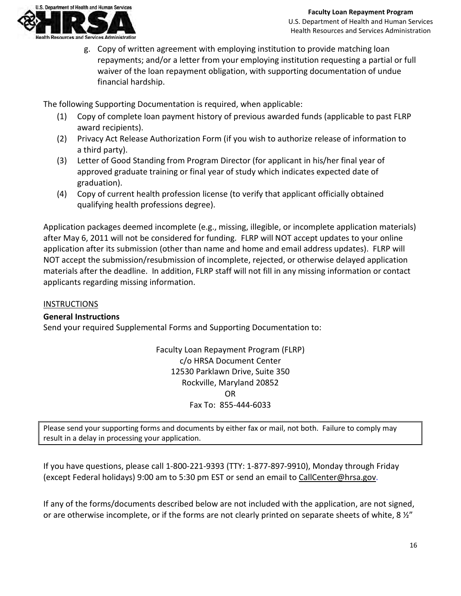

g. Copy of written agreement with employing institution to provide matching loan repayments; and/or a letter from your employing institution requesting a partial or full waiver of the loan repayment obligation, with supporting documentation of undue financial hardship.

The following Supporting Documentation is required, when applicable:

- (1) Copy of complete loan payment history of previous awarded funds (applicable to past FLRP award recipients).
- (2) Privacy Act Release Authorization Form (if you wish to authorize release of information to a third party).
- (3) Letter of Good Standing from Program Director (for applicant in his/her final year of approved graduate training or final year of study which indicates expected date of graduation).
- (4) Copy of current health profession license (to verify that applicant officially obtained qualifying health professions degree).

Application packages deemed incomplete (e.g., missing, illegible, or incomplete application materials) after May 6, 2011 will not be considered for funding. FLRP will NOT accept updates to your online application after its submission (other than name and home and email address updates). FLRP will NOT accept the submission/resubmission of incomplete, rejected, or otherwise delayed application materials after the deadline. In addition, FLRP staff will not fill in any missing information or contact applicants regarding missing information.

#### **INSTRUCTIONS**

# **General Instructions**

Send your required Supplemental Forms and Supporting Documentation to:

Faculty Loan Repayment Program (FLRP) c/o HRSA Document Center 12530 Parklawn Drive, Suite 350 Rockville, Maryland 20852 OR Fax To: 855-444-6033

Please send your supporting forms and documents by either fax or mail, not both. Failure to comply may result in a delay in processing your application.

If you have questions, please call 1-800-221-9393 (TTY: 1-877-897-9910), Monday through Friday (except Federal holidays) 9:00 am to 5:30 pm EST or send an email to [CallCenter@hrsa.gov.](mailto:CallCenter@hrsa.gov)

If any of the forms/documents described below are not included with the application, are not signed, or are otherwise incomplete, or if the forms are not clearly printed on separate sheets of white, 8 ½"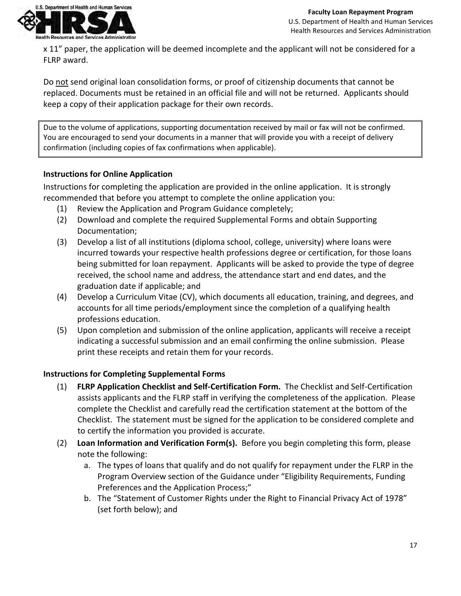

x 11" paper, the application will be deemed incomplete and the applicant will not be considered for a FLRP award.

Do not send original loan consolidation forms, or proof of citizenship documents that cannot be replaced. Documents must be retained in an official file and will not be returned. Applicants should keep a copy of their application package for their own records.

Due to the volume of applications, supporting documentation received by mail or fax will not be confirmed. You are encouraged to send your documents in a manner that will provide you with a receipt of delivery confirmation (including copies of fax confirmations when applicable).

# **Instructions for Online Application**

Instructions for completing the application are provided in the online application. It is strongly recommended that before you attempt to complete the online application you:

- (1) Review the Application and Program Guidance completely;
- (2) Download and complete the required Supplemental Forms and obtain Supporting Documentation;
- (3) Develop a list of all institutions (diploma school, college, university) where loans were incurred towards your respective health professions degree or certification, for those loans being submitted for loan repayment. Applicants will be asked to provide the type of degree received, the school name and address, the attendance start and end dates, and the graduation date if applicable; and
- (4) Develop a Curriculum Vitae (CV), which documents all education, training, and degrees, and accounts for all time periods/employment since the completion of a qualifying health professions education.
- (5) Upon completion and submission of the online application, applicants will receive a receipt indicating a successful submission and an email confirming the online submission. Please print these receipts and retain them for your records.

# **Instructions for Completing Supplemental Forms**

- (1) **FLRP Application Checklist and Self-Certification Form.** The Checklist and Self-Certification assists applicants and the FLRP staff in verifying the completeness of the application. Please complete the Checklist and carefully read the certification statement at the bottom of the Checklist. The statement must be signed for the application to be considered complete and to certify the information you provided is accurate.
- (2) **Loan Information and Verification Form(s).** Before you begin completing this form, please note the following:
	- a. The types of loans that qualify and do not qualify for repayment under the FLRP in the Program Overview section of the Guidance under "Eligibility Requirements, Funding Preferences and the Application Process;"
	- b. The "Statement of Customer Rights under the Right to Financial Privacy Act of 1978" (set forth below); and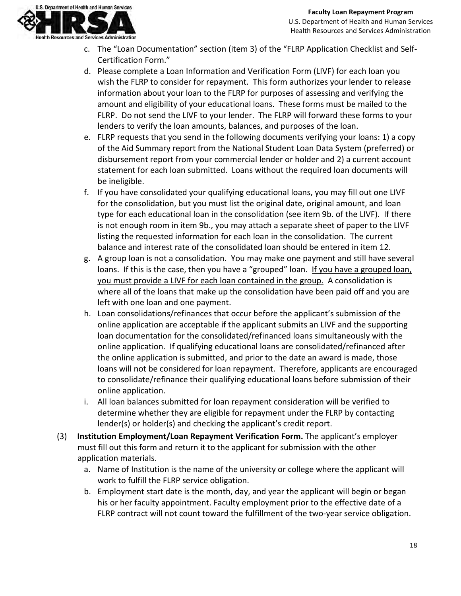

- c. The "Loan Documentation" section (item 3) of the "FLRP Application Checklist and Self-Certification Form."
- d. Please complete a Loan Information and Verification Form (LIVF) for each loan you wish the FLRP to consider for repayment. This form authorizes your lender to release information about your loan to the FLRP for purposes of assessing and verifying the amount and eligibility of your educational loans. These forms must be mailed to the FLRP. Do not send the LIVF to your lender. The FLRP will forward these forms to your lenders to verify the loan amounts, balances, and purposes of the loan.
- e. FLRP requests that you send in the following documents verifying your loans: 1) a copy of the Aid Summary report from the National Student Loan Data System (preferred) or disbursement report from your commercial lender or holder and 2) a current account statement for each loan submitted. Loans without the required loan documents will be ineligible.
- f. If you have consolidated your qualifying educational loans, you may fill out one LIVF for the consolidation, but you must list the original date, original amount, and loan type for each educational loan in the consolidation (see item 9b. of the LIVF). If there is not enough room in item 9b., you may attach a separate sheet of paper to the LIVF listing the requested information for each loan in the consolidation. The current balance and interest rate of the consolidated loan should be entered in item 12.
- g. A group loan is not a consolidation. You may make one payment and still have several loans. If this is the case, then you have a "grouped" loan. If you have a grouped loan, you must provide a LIVF for each loan contained in the group. A consolidation is where all of the loans that make up the consolidation have been paid off and you are left with one loan and one payment.
- h. Loan consolidations/refinances that occur before the applicant's submission of the online application are acceptable if the applicant submits an LIVF and the supporting loan documentation for the consolidated/refinanced loans simultaneously with the online application. If qualifying educational loans are consolidated/refinanced after the online application is submitted, and prior to the date an award is made, those loans will not be considered for loan repayment. Therefore, applicants are encouraged to consolidate/refinance their qualifying educational loans before submission of their online application.
- i. All loan balances submitted for loan repayment consideration will be verified to determine whether they are eligible for repayment under the FLRP by contacting lender(s) or holder(s) and checking the applicant's credit report.
- (3) **Institution Employment/Loan Repayment Verification Form.** The applicant's employer must fill out this form and return it to the applicant for submission with the other application materials.
	- a. Name of Institution is the name of the university or college where the applicant will work to fulfill the FLRP service obligation.
	- b. Employment start date is the month, day, and year the applicant will begin or began his or her faculty appointment. Faculty employment prior to the effective date of a FLRP contract will not count toward the fulfillment of the two-year service obligation.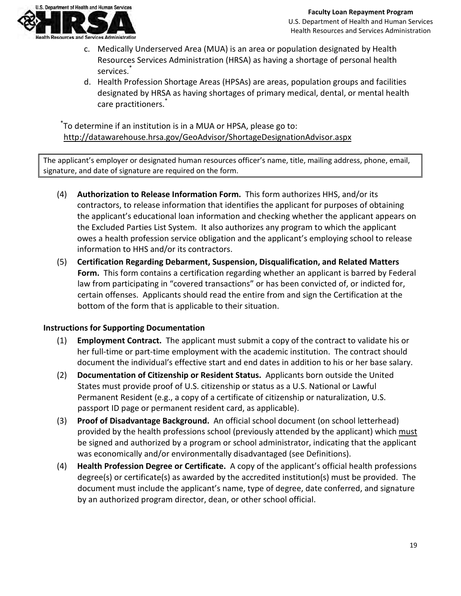

- c. Medically Underserved Area (MUA) is an area or population designated by Health Resources Services Administration (HRSA) as having a shortage of personal health services.<sup>\*</sup>
- d. Health Profession Shortage Areas (HPSAs) are areas, population groups and facilities designated by HRSA as having shortages of primary medical, dental, or mental health care practitioners.<sup>\*</sup>

\* To determine if an institution is in a MUA or HPSA, please go to: <http://datawarehouse.hrsa.gov/GeoAdvisor/ShortageDesignationAdvisor.aspx>

The applicant's employer or designated human resources officer's name, title, mailing address, phone, email, signature, and date of signature are required on the form.

- (4) **Authorization to Release Information Form.** This form authorizes HHS, and/or its contractors, to release information that identifies the applicant for purposes of obtaining the applicant's educational loan information and checking whether the applicant appears on the Excluded Parties List System. It also authorizes any program to which the applicant owes a health profession service obligation and the applicant's employing school to release information to HHS and/or its contractors.
- (5) **Certification Regarding Debarment, Suspension, Disqualification, and Related Matters Form.** This form contains a certification regarding whether an applicant is barred by Federal law from participating in "covered transactions" or has been convicted of, or indicted for, certain offenses. Applicants should read the entire from and sign the Certification at the bottom of the form that is applicable to their situation.

# **Instructions for Supporting Documentation**

- (1) **Employment Contract.** The applicant must submit a copy of the contract to validate his or her full-time or part-time employment with the academic institution. The contract should document the individual's effective start and end dates in addition to his or her base salary.
- (2) **Documentation of Citizenship or Resident Status.** Applicants born outside the United States must provide proof of U.S. citizenship or status as a U.S. National or Lawful Permanent Resident (e.g., a copy of a certificate of citizenship or naturalization, U.S. passport ID page or permanent resident card, as applicable).
- (3) **Proof of Disadvantage Background.** An official school document (on school letterhead) provided by the health professions school (previously attended by the applicant) which must be signed and authorized by a program or school administrator, indicating that the applicant was economically and/or environmentally disadvantaged (see Definitions).
- (4) **Health Profession Degree or Certificate.** A copy of the applicant's official health professions degree(s) or certificate(s) as awarded by the accredited institution(s) must be provided. The document must include the applicant's name, type of degree, date conferred, and signature by an authorized program director, dean, or other school official.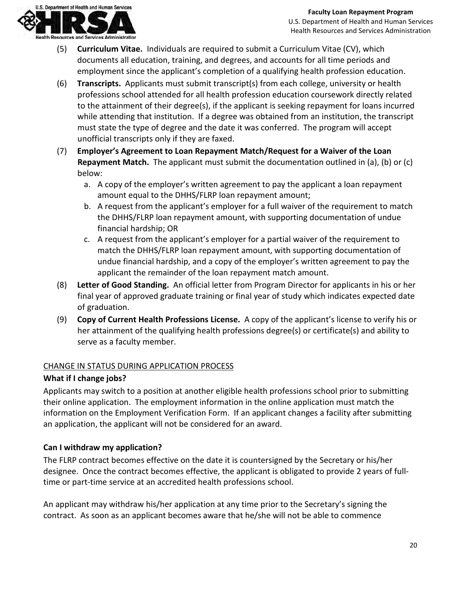

- (5) **Curriculum Vitae.** Individuals are required to submit a Curriculum Vitae (CV), which documents all education, training, and degrees, and accounts for all time periods and employment since the applicant's completion of a qualifying health profession education.
- (6) **Transcripts.** Applicants must submit transcript(s) from each college, university or health professions school attended for all health profession education coursework directly related to the attainment of their degree(s), if the applicant is seeking repayment for loans incurred while attending that institution. If a degree was obtained from an institution, the transcript must state the type of degree and the date it was conferred. The program will accept unofficial transcripts only if they are faxed.
- (7) **Employer's Agreement to Loan Repayment Match/Request for a Waiver of the Loan Repayment Match.** The applicant must submit the documentation outlined in (a), (b) or (c) below:
	- a. A copy of the employer's written agreement to pay the applicant a loan repayment amount equal to the DHHS/FLRP loan repayment amount;
	- b. A request from the applicant's employer for a full waiver of the requirement to match the DHHS/FLRP loan repayment amount, with supporting documentation of undue financial hardship; OR
	- c. A request from the applicant's employer for a partial waiver of the requirement to match the DHHS/FLRP loan repayment amount, with supporting documentation of undue financial hardship, and a copy of the employer's written agreement to pay the applicant the remainder of the loan repayment match amount.
- (8) **Letter of Good Standing.** An official letter from Program Director for applicants in his or her final year of approved graduate training or final year of study which indicates expected date of graduation.
- (9) **Copy of Current Health Professions License.** A copy of the applicant's license to verify his or her attainment of the qualifying health professions degree(s) or certificate(s) and ability to serve as a faculty member.

# CHANGE IN STATUS DURING APPLICATION PROCESS

# **What if I change jobs?**

Applicants may switch to a position at another eligible health professions school prior to submitting their online application. The employment information in the online application must match the information on the Employment Verification Form. If an applicant changes a facility after submitting an application, the applicant will not be considered for an award.

# **Can I withdraw my application?**

The FLRP contract becomes effective on the date it is countersigned by the Secretary or his/her designee. Once the contract becomes effective, the applicant is obligated to provide 2 years of fulltime or part-time service at an accredited health professions school.

An applicant may withdraw his/her application at any time prior to the Secretary's signing the contract. As soon as an applicant becomes aware that he/she will not be able to commence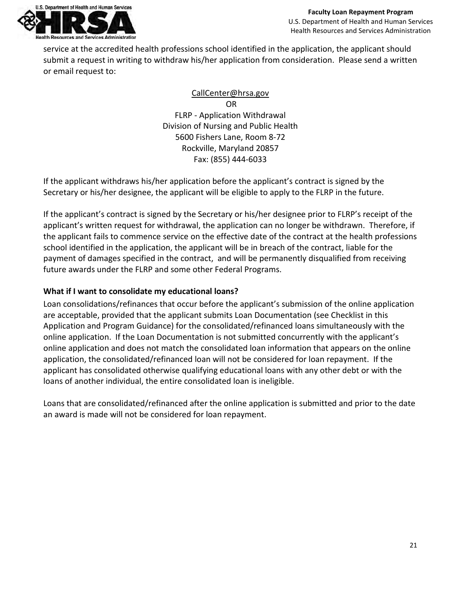

service at the accredited health professions school identified in the application, the applicant should submit a request in writing to withdraw his/her application from consideration. Please send a written or email request to:

# [CallCenter@hrsa.gov](mailto:CallCenter@hrsa.gov)

OR FLRP - Application Withdrawal Division of Nursing and Public Health 5600 Fishers Lane, Room 8-72 Rockville, Maryland 20857 Fax: (855) 444-6033

If the applicant withdraws his/her application before the applicant's contract is signed by the Secretary or his/her designee, the applicant will be eligible to apply to the FLRP in the future.

If the applicant's contract is signed by the Secretary or his/her designee prior to FLRP's receipt of the applicant's written request for withdrawal, the application can no longer be withdrawn. Therefore, if the applicant fails to commence service on the effective date of the contract at the health professions school identified in the application, the applicant will be in breach of the contract, liable for the payment of damages specified in the contract, and will be permanently disqualified from receiving future awards under the FLRP and some other Federal Programs.

# **What if I want to consolidate my educational loans?**

Loan consolidations/refinances that occur before the applicant's submission of the online application are acceptable, provided that the applicant submits Loan Documentation (see Checklist in this Application and Program Guidance) for the consolidated/refinanced loans simultaneously with the online application. If the Loan Documentation is not submitted concurrently with the applicant's online application and does not match the consolidated loan information that appears on the online application, the consolidated/refinanced loan will not be considered for loan repayment. If the applicant has consolidated otherwise qualifying educational loans with any other debt or with the loans of another individual, the entire consolidated loan is ineligible.

Loans that are consolidated/refinanced after the online application is submitted and prior to the date an award is made will not be considered for loan repayment.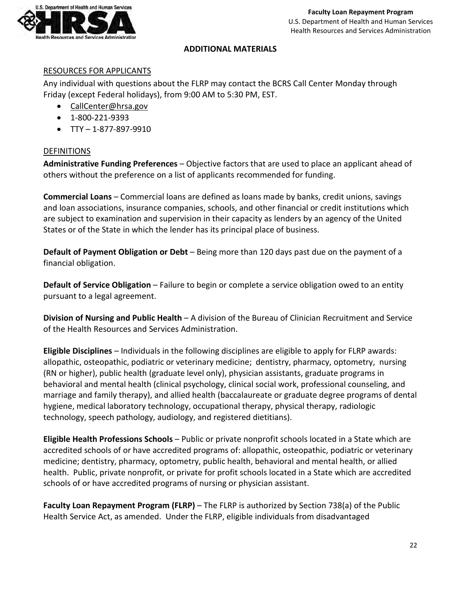

## **ADDITIONAL MATERIALS**

#### RESOURCES FOR APPLICANTS

Any individual with questions about the FLRP may contact the BCRS Call Center Monday through Friday (except Federal holidays), from 9:00 AM to 5:30 PM, EST.

- [CallCenter@hrsa.gov](mailto:CallCenter@hrsa.gov)
- 1-800-221-9393
- $TTY 1 877 897 9910$

#### **DEFINITIONS**

**Administrative Funding Preferences** – Objective factors that are used to place an applicant ahead of others without the preference on a list of applicants recommended for funding.

**Commercial Loans** – Commercial loans are defined as loans made by banks, credit unions, savings and loan associations, insurance companies, schools, and other financial or credit institutions which are subject to examination and supervision in their capacity as lenders by an agency of the United States or of the State in which the lender has its principal place of business.

**Default of Payment Obligation or Debt** – Being more than 120 days past due on the payment of a financial obligation.

**Default of Service Obligation** – Failure to begin or complete a service obligation owed to an entity pursuant to a legal agreement.

**Division of Nursing and Public Health** – A division of the Bureau of Clinician Recruitment and Service of the Health Resources and Services Administration.

**Eligible Disciplines** – Individuals in the following disciplines are eligible to apply for FLRP awards: allopathic, osteopathic, podiatric or veterinary medicine; dentistry, pharmacy, optometry, nursing (RN or higher), public health (graduate level only), physician assistants, graduate programs in behavioral and mental health (clinical psychology, clinical social work, professional counseling, and marriage and family therapy), and allied health (baccalaureate or graduate degree programs of dental hygiene, medical laboratory technology, occupational therapy, physical therapy, radiologic technology, speech pathology, audiology, and registered dietitians).

**Eligible Health Professions Schools** – Public or private nonprofit schools located in a State which are accredited schools of or have accredited programs of: allopathic, osteopathic, podiatric or veterinary medicine; dentistry, pharmacy, optometry, public health, behavioral and mental health, or allied health. Public, private nonprofit, or private for profit schools located in a State which are accredited schools of or have accredited programs of nursing or physician assistant.

**Faculty Loan Repayment Program (FLRP)** – The FLRP is authorized by Section 738(a) of the Public Health Service Act, as amended. Under the FLRP, eligible individuals from disadvantaged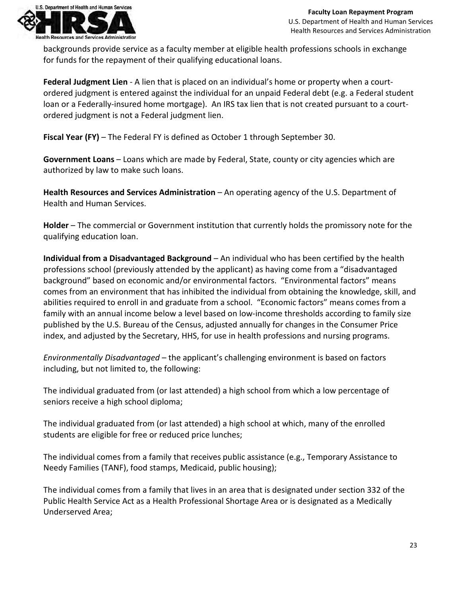

backgrounds provide service as a faculty member at eligible health professions schools in exchange for funds for the repayment of their qualifying educational loans.

**Federal Judgment Lien** - A lien that is placed on an individual's home or property when a courtordered judgment is entered against the individual for an unpaid Federal debt (e.g. a Federal student loan or a Federally-insured home mortgage). An IRS tax lien that is not created pursuant to a courtordered judgment is not a Federal judgment lien.

**Fiscal Year (FY)** – The Federal FY is defined as October 1 through September 30.

**Government Loans** – Loans which are made by Federal, State, county or city agencies which are authorized by law to make such loans.

**Health Resources and Services Administration** – An operating agency of the U.S. Department of Health and Human Services.

**Holder** – The commercial or Government institution that currently holds the promissory note for the qualifying education loan.

**Individual from a Disadvantaged Background** – An individual who has been certified by the health professions school (previously attended by the applicant) as having come from a "disadvantaged background" based on economic and/or environmental factors. "Environmental factors" means comes from an environment that has inhibited the individual from obtaining the knowledge, skill, and abilities required to enroll in and graduate from a school. "Economic factors" means comes from a family with an annual income below a level based on low-income thresholds according to family size published by the U.S. Bureau of the Census, adjusted annually for changes in the Consumer Price index, and adjusted by the Secretary, HHS, for use in health professions and nursing programs.

*Environmentally Disadvantaged* – the applicant's challenging environment is based on factors including, but not limited to, the following:

The individual graduated from (or last attended) a high school from which a low percentage of seniors receive a high school diploma;

The individual graduated from (or last attended) a high school at which, many of the enrolled students are eligible for free or reduced price lunches;

The individual comes from a family that receives public assistance (e.g., Temporary Assistance to Needy Families (TANF), food stamps, Medicaid, public housing);

The individual comes from a family that lives in an area that is designated under section 332 of the Public Health Service Act as a Health Professional Shortage Area or is designated as a Medically Underserved Area;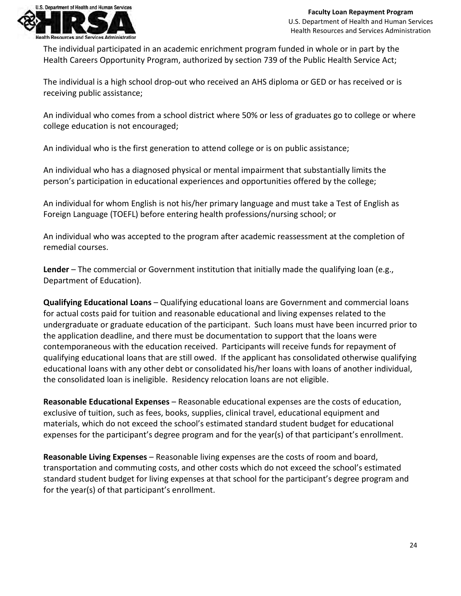

The individual participated in an academic enrichment program funded in whole or in part by the Health Careers Opportunity Program, authorized by section 739 of the Public Health Service Act;

The individual is a high school drop-out who received an AHS diploma or GED or has received or is receiving public assistance;

An individual who comes from a school district where 50% or less of graduates go to college or where college education is not encouraged;

An individual who is the first generation to attend college or is on public assistance;

An individual who has a diagnosed physical or mental impairment that substantially limits the person's participation in educational experiences and opportunities offered by the college;

An individual for whom English is not his/her primary language and must take a Test of English as Foreign Language (TOEFL) before entering health professions/nursing school; or

An individual who was accepted to the program after academic reassessment at the completion of remedial courses.

**Lender** – The commercial or Government institution that initially made the qualifying loan (e.g., Department of Education).

**Qualifying Educational Loans** – Qualifying educational loans are Government and commercial loans for actual costs paid for tuition and reasonable educational and living expenses related to the undergraduate or graduate education of the participant. Such loans must have been incurred prior to the application deadline, and there must be documentation to support that the loans were contemporaneous with the education received. Participants will receive funds for repayment of qualifying educational loans that are still owed. If the applicant has consolidated otherwise qualifying educational loans with any other debt or consolidated his/her loans with loans of another individual, the consolidated loan is ineligible. Residency relocation loans are not eligible.

**Reasonable Educational Expenses** – Reasonable educational expenses are the costs of education, exclusive of tuition, such as fees, books, supplies, clinical travel, educational equipment and materials, which do not exceed the school's estimated standard student budget for educational expenses for the participant's degree program and for the year(s) of that participant's enrollment.

**Reasonable Living Expenses** – Reasonable living expenses are the costs of room and board, transportation and commuting costs, and other costs which do not exceed the school's estimated standard student budget for living expenses at that school for the participant's degree program and for the year(s) of that participant's enrollment.